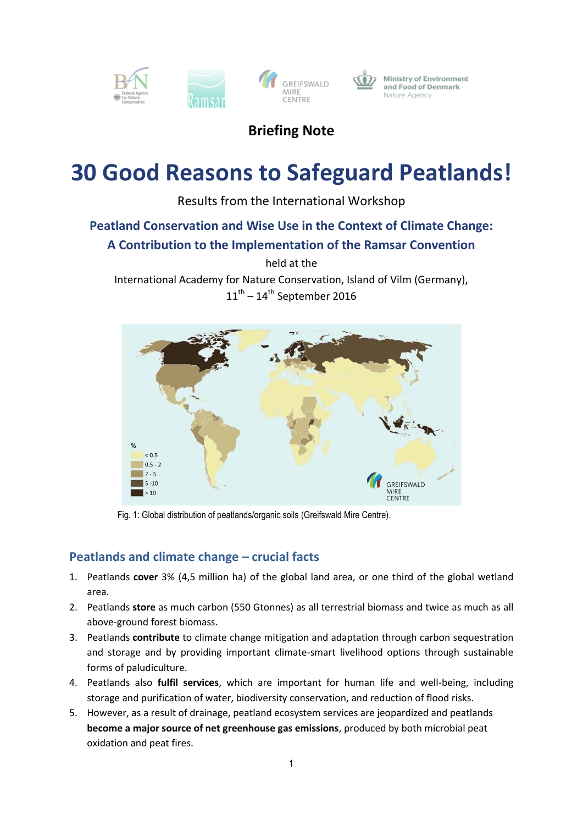

## **Briefing Note**

# **30 Good Reasons to Safeguard Peatlands!**

Results from the International Workshop

## **Peatland Conservation and Wise Use in the Context of Climate Change:**

## **A Contribution to the Implementation of the Ramsar Convention**

held at the

International Academy for Nature Conservation, Island of Vilm (Germany),  $11<sup>th</sup> - 14<sup>th</sup>$  September 2016



Fig. 1: Global distribution of peatlands/organic soils (Greifswald Mire Centre).

## **Peatlands and climate change – crucial facts**

- 1. Peatlands **cover** 3% (4,5 million ha) of the global land area, or one third of the global wetland area.
- 2. Peatlands **store** as much carbon (550 Gtonnes) as all terrestrial biomass and twice as much as all above-ground forest biomass.
- 3. Peatlands **contribute** to climate change mitigation and adaptation through carbon sequestration and storage and by providing important climate-smart livelihood options through sustainable forms of paludiculture.
- 4. Peatlands also **fulfil services**, which are important for human life and well-being, including storage and purification of water, biodiversity conservation, and reduction of flood risks.
- 5. However, as a result of drainage, peatland ecosystem services are jeopardized and peatlands **become a major source of net greenhouse gas emissions**, produced by both microbial peat oxidation and peat fires.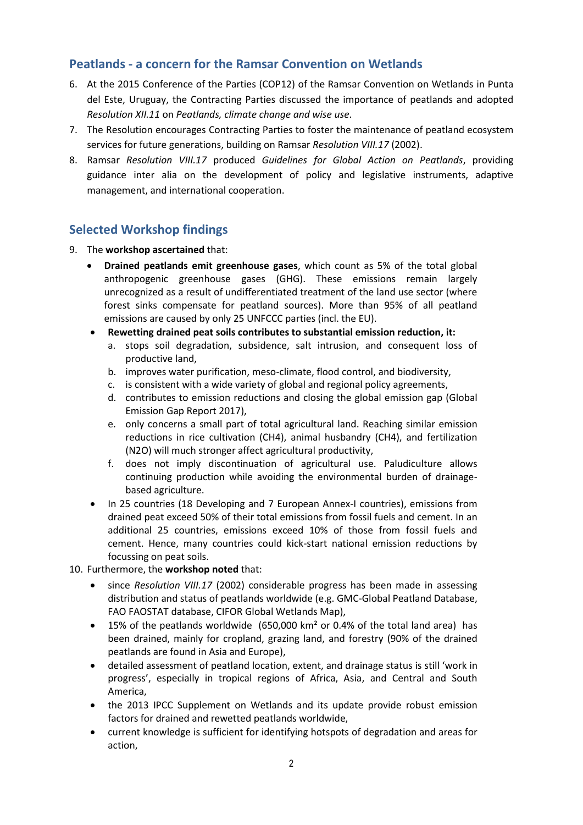## **Peatlands - a concern for the Ramsar Convention on Wetlands**

- 6. At the 2015 Conference of the Parties (COP12) of the Ramsar Convention on Wetlands in Punta del Este, Uruguay, the Contracting Parties discussed the importance of peatlands and adopted *Resolution XII.11* on *Peatlands, climate change and wise use*.
- 7. The Resolution encourages Contracting Parties to foster the maintenance of peatland ecosystem services for future generations, building on Ramsar *Resolution VIII.17* (2002).
- 8. Ramsar *Resolution VIII.17* produced *Guidelines for Global Action on Peatlands*, providing guidance inter alia on the development of policy and legislative instruments, adaptive management, and international cooperation.

## **Selected Workshop findings**

- 9. The **workshop ascertained** that:
	- **Drained peatlands emit greenhouse gases**, which count as 5% of the total global anthropogenic greenhouse gases (GHG). These emissions remain largely unrecognized as a result of undifferentiated treatment of the land use sector (where forest sinks compensate for peatland sources). More than 95% of all peatland emissions are caused by only 25 UNFCCC parties (incl. the EU).
	- **Rewetting drained peat soils contributes to substantial emission reduction, it:** 
		- a. stops soil degradation, subsidence, salt intrusion, and consequent loss of productive land,
		- b. improves water purification, meso-climate, flood control, and biodiversity,
		- c. is consistent with a wide variety of global and regional policy agreements,
		- d. contributes to emission reductions and closing the global emission gap (Global Emission Gap Report 2017),
		- e. only concerns a small part of total agricultural land. Reaching similar emission reductions in rice cultivation (CH4), animal husbandry (CH4), and fertilization (N2O) will much stronger affect agricultural productivity,
		- f. does not imply discontinuation of agricultural use. Paludiculture allows continuing production while avoiding the environmental burden of drainagebased agriculture.
	- In 25 countries (18 Developing and 7 European Annex-I countries), emissions from drained peat exceed 50% of their total emissions from fossil fuels and cement. In an additional 25 countries, emissions exceed 10% of those from fossil fuels and cement. Hence, many countries could kick-start national emission reductions by focussing on peat soils.

10. Furthermore, the **workshop noted** that:

- since *Resolution VIII.17* (2002) considerable progress has been made in assessing distribution and status of peatlands worldwide (e.g. GMC-Global Peatland Database, FAO FAOSTAT database, CIFOR Global Wetlands Map),
- 15% of the peatlands worldwide  $(650,000 \text{ km}^2 \text{ or } 0.4\% \text{ of the total land area})$  has been drained, mainly for cropland, grazing land, and forestry (90% of the drained peatlands are found in Asia and Europe),
- detailed assessment of peatland location, extent, and drainage status is still 'work in progress', especially in tropical regions of Africa, Asia, and Central and South America,
- the 2013 IPCC Supplement on Wetlands and its update provide robust emission factors for drained and rewetted peatlands worldwide,
- current knowledge is sufficient for identifying hotspots of degradation and areas for action,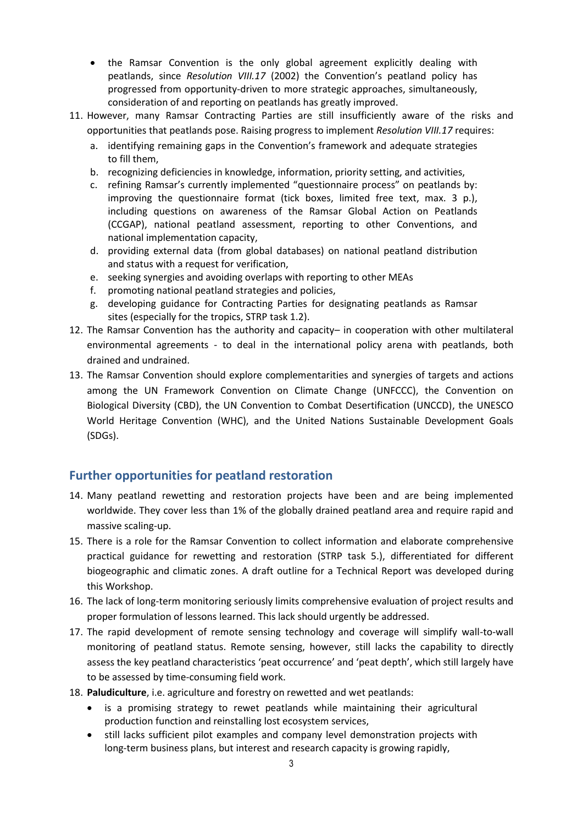- the Ramsar Convention is the only global agreement explicitly dealing with peatlands, since *Resolution VIII.17* (2002) the Convention's peatland policy has progressed from opportunity-driven to more strategic approaches, simultaneously, consideration of and reporting on peatlands has greatly improved.
- 11. However, many Ramsar Contracting Parties are still insufficiently aware of the risks and opportunities that peatlands pose. Raising progress to implement *Resolution VIII.17* requires:
	- a. identifying remaining gaps in the Convention's framework and adequate strategies to fill them,
	- b. recognizing deficiencies in knowledge, information, priority setting, and activities,
	- c. refining Ramsar's currently implemented "questionnaire process" on peatlands by: improving the questionnaire format (tick boxes, limited free text, max. 3 p.), including questions on awareness of the Ramsar Global Action on Peatlands (CCGAP), national peatland assessment, reporting to other Conventions, and national implementation capacity,
	- d. providing external data (from global databases) on national peatland distribution and status with a request for verification,
	- e. seeking synergies and avoiding overlaps with reporting to other MEAs
	- f. promoting national peatland strategies and policies,
	- g. developing guidance for Contracting Parties for designating peatlands as Ramsar sites (especially for the tropics, STRP task 1.2).
- 12. The Ramsar Convention has the authority and capacity– in cooperation with other multilateral environmental agreements - to deal in the international policy arena with peatlands, both drained and undrained.
- 13. The Ramsar Convention should explore complementarities and synergies of targets and actions among the UN Framework Convention on Climate Change (UNFCCC), the Convention on Biological Diversity (CBD), the UN Convention to Combat Desertification (UNCCD), the UNESCO World Heritage Convention (WHC), and the United Nations Sustainable Development Goals (SDGs).

#### **Further opportunities for peatland restoration**

- 14. Many peatland rewetting and restoration projects have been and are being implemented worldwide. They cover less than 1% of the globally drained peatland area and require rapid and massive scaling-up.
- 15. There is a role for the Ramsar Convention to collect information and elaborate comprehensive practical guidance for rewetting and restoration (STRP task 5.), differentiated for different biogeographic and climatic zones. A draft outline for a Technical Report was developed during this Workshop.
- 16. The lack of long-term monitoring seriously limits comprehensive evaluation of project results and proper formulation of lessons learned. This lack should urgently be addressed.
- 17. The rapid development of remote sensing technology and coverage will simplify wall-to-wall monitoring of peatland status. Remote sensing, however, still lacks the capability to directly assess the key peatland characteristics 'peat occurrence' and 'peat depth', which still largely have to be assessed by time-consuming field work.
- 18. **Paludiculture**, i.e. agriculture and forestry on rewetted and wet peatlands:
	- is a promising strategy to rewet peatlands while maintaining their agricultural production function and reinstalling lost ecosystem services,
	- still lacks sufficient pilot examples and company level demonstration projects with long-term business plans, but interest and research capacity is growing rapidly,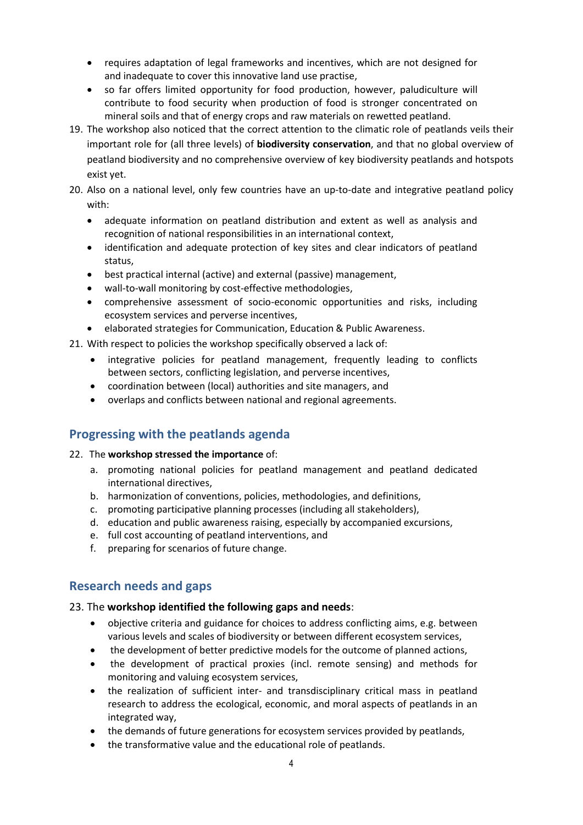- requires adaptation of legal frameworks and incentives, which are not designed for and inadequate to cover this innovative land use practise,
- so far offers limited opportunity for food production, however, paludiculture will contribute to food security when production of food is stronger concentrated on mineral soils and that of energy crops and raw materials on rewetted peatland.
- 19. The workshop also noticed that the correct attention to the climatic role of peatlands veils their important role for (all three levels) of **biodiversity conservation**, and that no global overview of peatland biodiversity and no comprehensive overview of key biodiversity peatlands and hotspots exist yet.
- 20. Also on a national level, only few countries have an up-to-date and integrative peatland policy with:
	- adequate information on peatland distribution and extent as well as analysis and recognition of national responsibilities in an international context,
	- identification and adequate protection of key sites and clear indicators of peatland status,
	- best practical internal (active) and external (passive) management,
	- wall-to-wall monitoring by cost-effective methodologies,
	- comprehensive assessment of socio-economic opportunities and risks, including ecosystem services and perverse incentives,
	- elaborated strategies for Communication, Education & Public Awareness.
- 21. With respect to policies the workshop specifically observed a lack of:
	- integrative policies for peatland management, frequently leading to conflicts between sectors, conflicting legislation, and perverse incentives,
	- coordination between (local) authorities and site managers, and
	- overlaps and conflicts between national and regional agreements.

## **Progressing with the peatlands agenda**

#### 22. The **workshop stressed the importance** of:

- a. promoting national policies for peatland management and peatland dedicated international directives,
- b. harmonization of conventions, policies, methodologies, and definitions,
- c. promoting participative planning processes (including all stakeholders),
- d. education and public awareness raising, especially by accompanied excursions,
- e. full cost accounting of peatland interventions, and
- f. preparing for scenarios of future change.

### **Research needs and gaps**

#### 23. The **workshop identified the following gaps and needs**:

- objective criteria and guidance for choices to address conflicting aims, e.g. between various levels and scales of biodiversity or between different ecosystem services,
- the development of better predictive models for the outcome of planned actions,
- the development of practical proxies (incl. remote sensing) and methods for monitoring and valuing ecosystem services,
- the realization of sufficient inter- and transdisciplinary critical mass in peatland research to address the ecological, economic, and moral aspects of peatlands in an integrated way,
- the demands of future generations for ecosystem services provided by peatlands,
- the transformative value and the educational role of peatlands.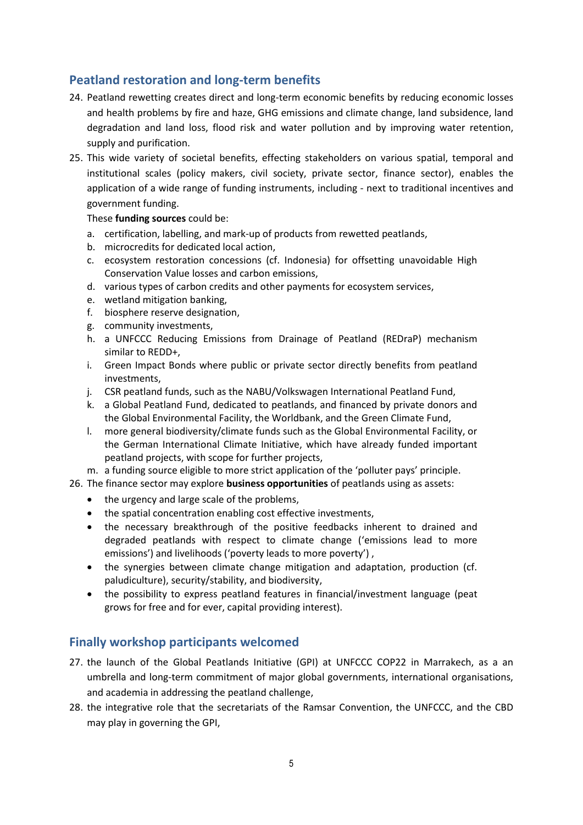## **Peatland restoration and long-term benefits**

- 24. Peatland rewetting creates direct and long-term economic benefits by reducing economic losses and health problems by fire and haze, GHG emissions and climate change, land subsidence, land degradation and land loss, flood risk and water pollution and by improving water retention, supply and purification.
- 25. This wide variety of societal benefits, effecting stakeholders on various spatial, temporal and institutional scales (policy makers, civil society, private sector, finance sector), enables the application of a wide range of funding instruments, including - next to traditional incentives and government funding.

These **funding sources** could be:

- a. certification, labelling, and mark-up of products from rewetted peatlands,
- b. microcredits for dedicated local action,
- c. ecosystem restoration concessions (cf. Indonesia) for offsetting unavoidable High Conservation Value losses and carbon emissions,
- d. various types of carbon credits and other payments for ecosystem services,
- e. wetland mitigation banking,
- f. biosphere reserve designation,
- g. community investments,
- h. a UNFCCC Reducing Emissions from Drainage of Peatland (REDraP) mechanism similar to REDD+,
- i. Green Impact Bonds where public or private sector directly benefits from peatland investments,
- j. CSR peatland funds, such as the NABU/Volkswagen International Peatland Fund,
- k. a Global Peatland Fund, dedicated to peatlands, and financed by private donors and the Global Environmental Facility, the Worldbank, and the Green Climate Fund,
- l. more general biodiversity/climate funds such as the Global Environmental Facility, or the German International Climate Initiative, which have already funded important peatland projects, with scope for further projects,
- m. a funding source eligible to more strict application of the 'polluter pays' principle.
- 26. The finance sector may explore **business opportunities** of peatlands using as assets:
	- the urgency and large scale of the problems,
	- the spatial concentration enabling cost effective investments,
	- the necessary breakthrough of the positive feedbacks inherent to drained and degraded peatlands with respect to climate change ('emissions lead to more emissions') and livelihoods ('poverty leads to more poverty') ,
	- the synergies between climate change mitigation and adaptation, production (cf. paludiculture), security/stability, and biodiversity,
	- the possibility to express peatland features in financial/investment language (peat grows for free and for ever, capital providing interest).

#### **Finally workshop participants welcomed**

- 27. the launch of the Global Peatlands Initiative (GPI) at UNFCCC COP22 in Marrakech, as a an umbrella and long-term commitment of major global governments, international organisations, and academia in addressing the peatland challenge,
- 28. the integrative role that the secretariats of the Ramsar Convention, the UNFCCC, and the CBD may play in governing the GPI,